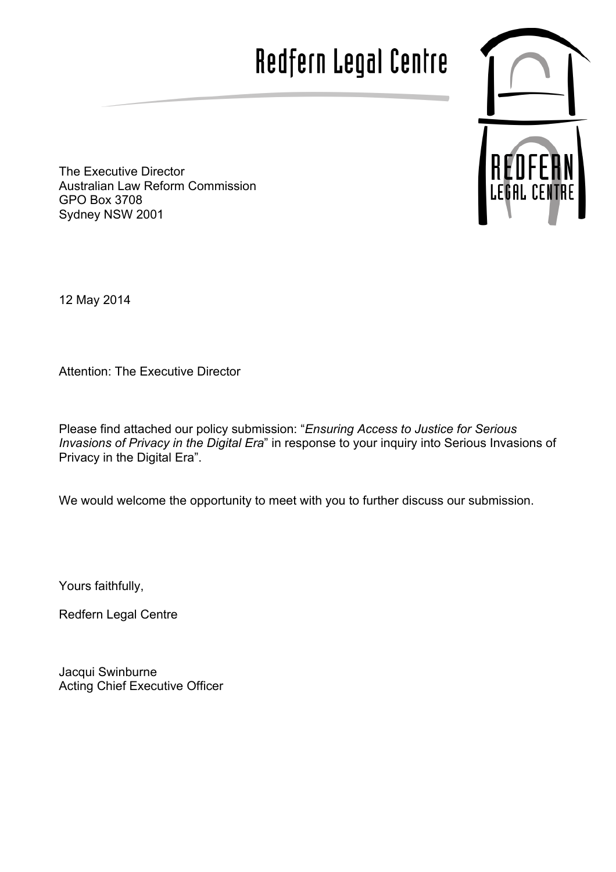# Redfern Legal Centre



The Executive Director Australian Law Reform Commission GPO Box 3708 Sydney NSW 2001

12 May 2014

Attention: The Executive Director

Please find attached our policy submission: "*Ensuring Access to Justice for Serious Invasions of Privacy in the Digital Era*" in response to your inquiry into Serious Invasions of Privacy in the Digital Era".

We would welcome the opportunity to meet with you to further discuss our submission.

Yours faithfully,

Redfern Legal Centre

Jacqui Swinburne Acting Chief Executive Officer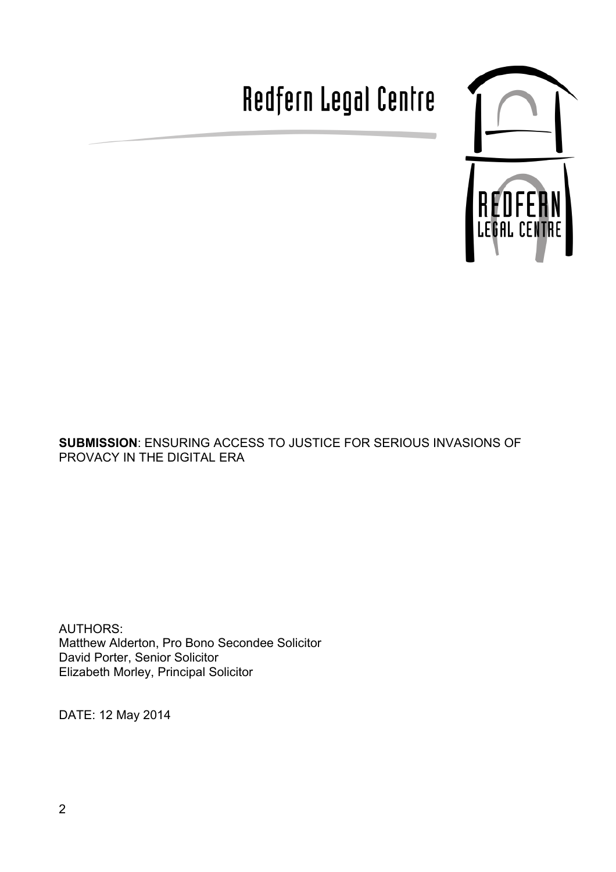# Redfern Legal Centre



**SUBMISSION**: ENSURING ACCESS TO JUSTICE FOR SERIOUS INVASIONS OF PROVACY IN THE DIGITAL ERA

AUTHORS: Matthew Alderton, Pro Bono Secondee Solicitor David Porter, Senior Solicitor Elizabeth Morley, Principal Solicitor

DATE: 12 May 2014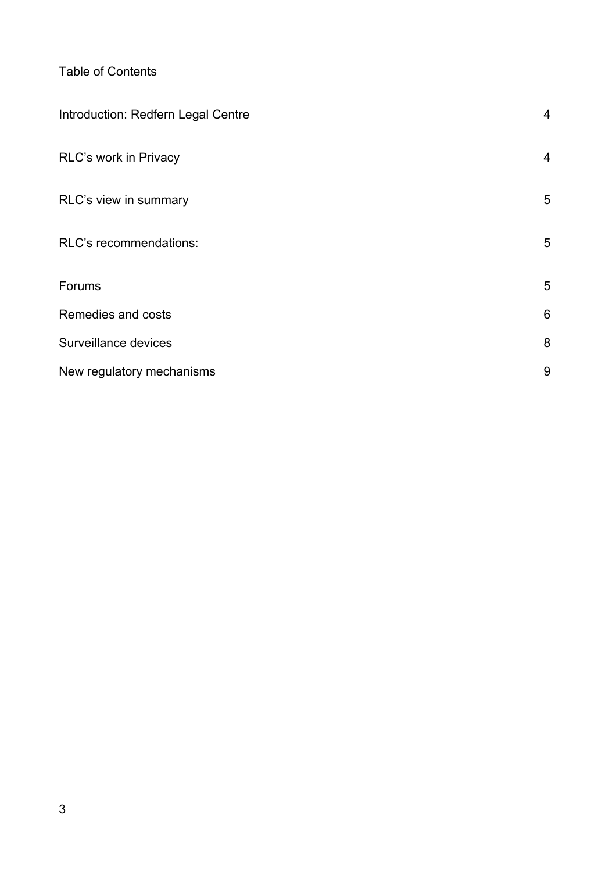Table of Contents

| Introduction: Redfern Legal Centre | 4 |
|------------------------------------|---|
| RLC's work in Privacy              | 4 |
| RLC's view in summary              | 5 |
| RLC's recommendations:             | 5 |
| Forums                             | 5 |
| Remedies and costs                 | 6 |
| Surveillance devices               | 8 |
| New regulatory mechanisms          | 9 |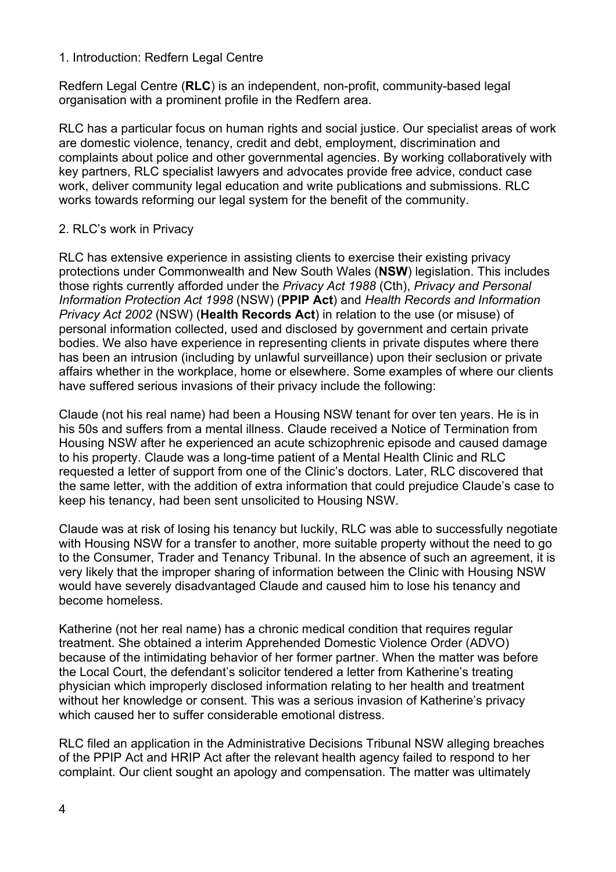#### 1. Introduction: Redfern Legal Centre

Redfern Legal Centre (**RLC**) is an independent, non-profit, community-based legal organisation with a prominent profile in the Redfern area.

RLC has a particular focus on human rights and social justice. Our specialist areas of work are domestic violence, tenancy, credit and debt, employment, discrimination and complaints about police and other governmental agencies. By working collaboratively with key partners, RLC specialist lawyers and advocates provide free advice, conduct case work, deliver community legal education and write publications and submissions. RLC works towards reforming our legal system for the benefit of the community.

# 2. RLC's work in Privacy

RLC has extensive experience in assisting clients to exercise their existing privacy protections under Commonwealth and New South Wales (**NSW**) legislation. This includes those rights currently afforded under the *Privacy Act 1988* (Cth), *Privacy and Personal Information Protection Act 1998* (NSW) (**PPIP Act**) and *Health Records and Information Privacy Act 2002* (NSW) (**Health Records Act**) in relation to the use (or misuse) of personal information collected, used and disclosed by government and certain private bodies. We also have experience in representing clients in private disputes where there has been an intrusion (including by unlawful surveillance) upon their seclusion or private affairs whether in the workplace, home or elsewhere. Some examples of where our clients have suffered serious invasions of their privacy include the following:

Claude (not his real name) had been a Housing NSW tenant for over ten years. He is in his 50s and suffers from a mental illness. Claude received a Notice of Termination from Housing NSW after he experienced an acute schizophrenic episode and caused damage to his property. Claude was a long-time patient of a Mental Health Clinic and RLC requested a letter of support from one of the Clinic's doctors. Later, RLC discovered that the same letter, with the addition of extra information that could prejudice Claude's case to keep his tenancy, had been sent unsolicited to Housing NSW.

Claude was at risk of losing his tenancy but luckily, RLC was able to successfully negotiate with Housing NSW for a transfer to another, more suitable property without the need to go to the Consumer, Trader and Tenancy Tribunal. In the absence of such an agreement, it is very likely that the improper sharing of information between the Clinic with Housing NSW would have severely disadvantaged Claude and caused him to lose his tenancy and become homeless.

Katherine (not her real name) has a chronic medical condition that requires regular treatment. She obtained a interim Apprehended Domestic Violence Order (ADVO) because of the intimidating behavior of her former partner. When the matter was before the Local Court, the defendant's solicitor tendered a letter from Katherine's treating physician which improperly disclosed information relating to her health and treatment without her knowledge or consent. This was a serious invasion of Katherine's privacy which caused her to suffer considerable emotional distress.

RLC filed an application in the Administrative Decisions Tribunal NSW alleging breaches of the PPIP Act and HRIP Act after the relevant health agency failed to respond to her complaint. Our client sought an apology and compensation. The matter was ultimately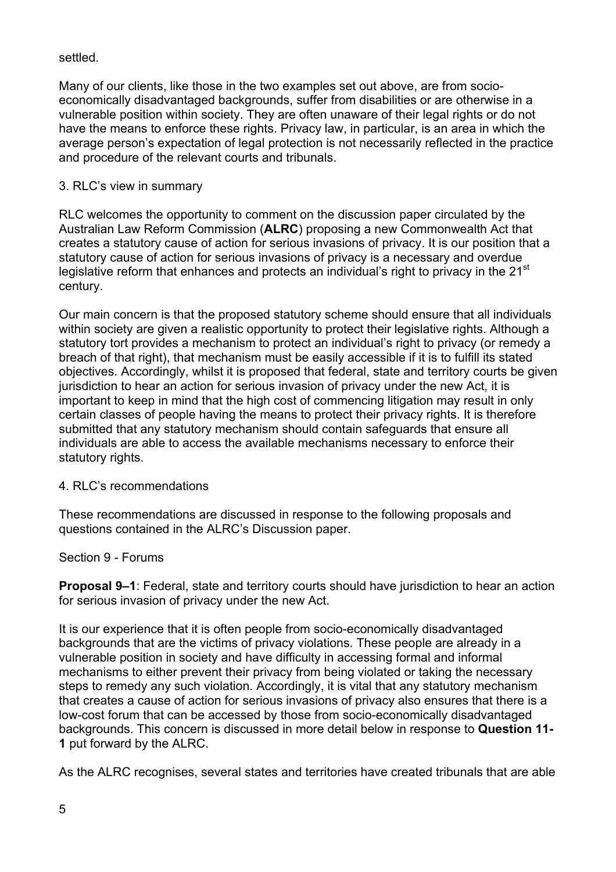### settled.

Many of our clients, like those in the two examples set out above, are from socioeconomically disadvantaged backgrounds, suffer from disabilities or are otherwise in a vulnerable position within society. They are often unaware of their legal rights or do not have the means to enforce these rights. Privacy law, in particular, is an area in which the average person's expectation of legal protection is not necessarily reflected in the practice and procedure of the relevant courts and tribunals.

## 3. RLC's view in summary

RLC welcomes the opportunity to comment on the discussion paper circulated by the Australian Law Reform Commission (**ALRC**) proposing a new Commonwealth Act that creates a statutory cause of action for serious invasions of privacy. It is our position that a statutory cause of action for serious invasions of privacy is a necessary and overdue legislative reform that enhances and protects an individual's right to privacy in the 21<sup>st</sup> century.

Our main concern is that the proposed statutory scheme should ensure that all individuals within society are given a realistic opportunity to protect their legislative rights. Although a statutory tort provides a mechanism to protect an individual's right to privacy (or remedy a breach of that right), that mechanism must be easily accessible if it is to fulfill its stated objectives. Accordingly, whilst it is proposed that federal, state and territory courts be given jurisdiction to hear an action for serious invasion of privacy under the new Act, it is important to keep in mind that the high cost of commencing litigation may result in only certain classes of people having the means to protect their privacy rights. It is therefore submitted that any statutory mechanism should contain safeguards that ensure all individuals are able to access the available mechanisms necessary to enforce their statutory rights.

#### 4. RLC's recommendations

These recommendations are discussed in response to the following proposals and questions contained in the ALRC's Discussion paper.

#### Section 9 - Forums

**Proposal 9–1**: Federal, state and territory courts should have jurisdiction to hear an action for serious invasion of privacy under the new Act.

It is our experience that it is often people from socio-economically disadvantaged backgrounds that are the victims of privacy violations. These people are already in a vulnerable position in society and have difficulty in accessing formal and informal mechanisms to either prevent their privacy from being violated or taking the necessary steps to remedy any such violation. Accordingly, it is vital that any statutory mechanism that creates a cause of action for serious invasions of privacy also ensures that there is a low-cost forum that can be accessed by those from socio-economically disadvantaged backgrounds. This concern is discussed in more detail below in response to **Question 11- 1** put forward by the ALRC.

As the ALRC recognises, several states and territories have created tribunals that are able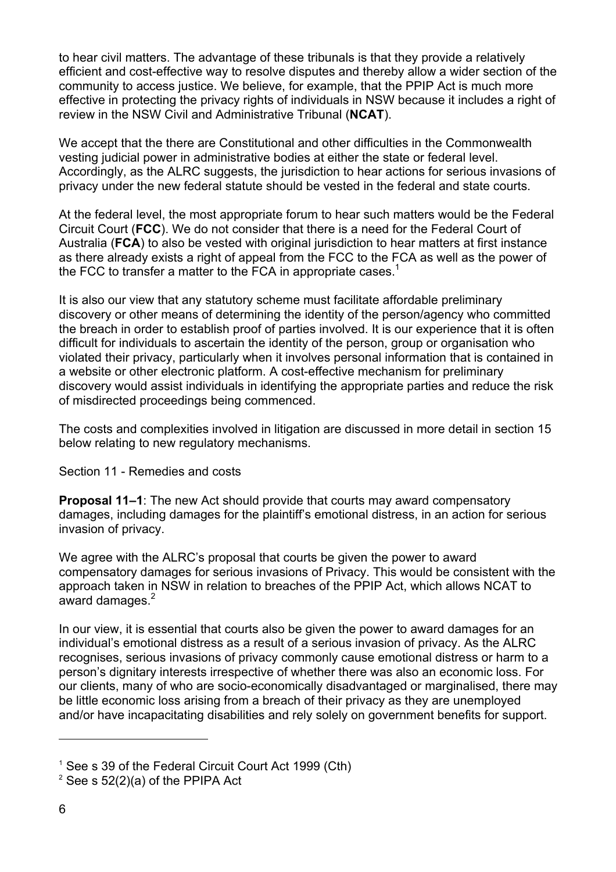to hear civil matters. The advantage of these tribunals is that they provide a relatively efficient and cost-effective way to resolve disputes and thereby allow a wider section of the community to access justice. We believe, for example, that the PPIP Act is much more effective in protecting the privacy rights of individuals in NSW because it includes a right of review in the NSW Civil and Administrative Tribunal (**NCAT**).

We accept that the there are Constitutional and other difficulties in the Commonwealth vesting judicial power in administrative bodies at either the state or federal level. Accordingly, as the ALRC suggests, the jurisdiction to hear actions for serious invasions of privacy under the new federal statute should be vested in the federal and state courts.

At the federal level, the most appropriate forum to hear such matters would be the Federal Circuit Court (**FCC**). We do not consider that there is a need for the Federal Court of Australia (**FCA**) to also be vested with original jurisdiction to hear matters at first instance as there already exists a right of appeal from the FCC to the FCA as well as the power of the FCC to transfer a matter to the FCA in appropriate cases.<sup>1</sup>

It is also our view that any statutory scheme must facilitate affordable preliminary discovery or other means of determining the identity of the person/agency who committed the breach in order to establish proof of parties involved. It is our experience that it is often difficult for individuals to ascertain the identity of the person, group or organisation who violated their privacy, particularly when it involves personal information that is contained in a website or other electronic platform. A cost-effective mechanism for preliminary discovery would assist individuals in identifying the appropriate parties and reduce the risk of misdirected proceedings being commenced.

The costs and complexities involved in litigation are discussed in more detail in section 15 below relating to new regulatory mechanisms.

Section 11 - Remedies and costs

**Proposal 11–1**: The new Act should provide that courts may award compensatory damages, including damages for the plaintiff's emotional distress, in an action for serious invasion of privacy.

We agree with the ALRC's proposal that courts be given the power to award compensatory damages for serious invasions of Privacy. This would be consistent with the approach taken in NSW in relation to breaches of the PPIP Act, which allows NCAT to award damages.<sup>2</sup>

In our view, it is essential that courts also be given the power to award damages for an individual's emotional distress as a result of a serious invasion of privacy. As the ALRC recognises, serious invasions of privacy commonly cause emotional distress or harm to a person's dignitary interests irrespective of whether there was also an economic loss. For our clients, many of who are socio-economically disadvantaged or marginalised, there may be little economic loss arising from a breach of their privacy as they are unemployed and/or have incapacitating disabilities and rely solely on government benefits for support.

l

<sup>&</sup>lt;sup>1</sup> See s 39 of the Federal Circuit Court Act 1999 (Cth)

 $2$  See s 52(2)(a) of the PPIPA Act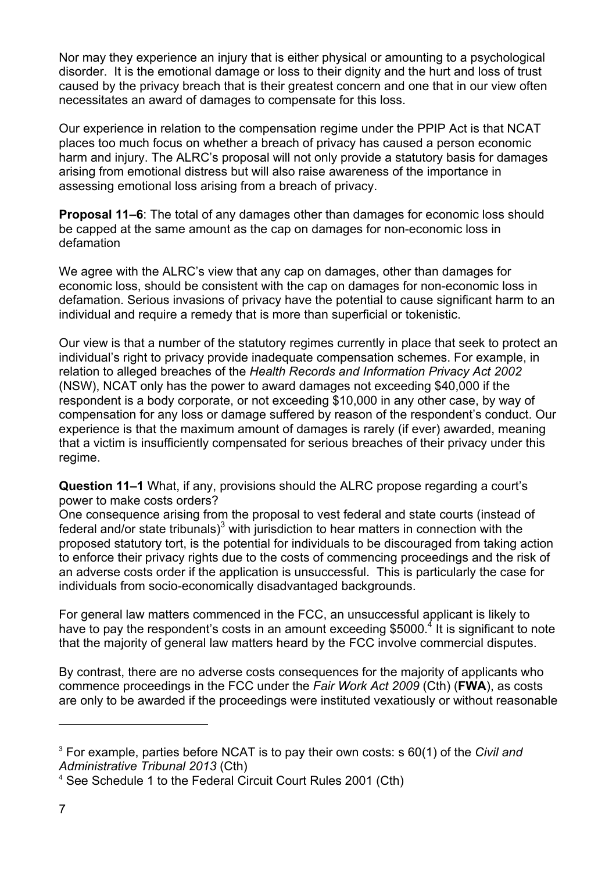Nor may they experience an injury that is either physical or amounting to a psychological disorder. It is the emotional damage or loss to their dignity and the hurt and loss of trust caused by the privacy breach that is their greatest concern and one that in our view often necessitates an award of damages to compensate for this loss.

Our experience in relation to the compensation regime under the PPIP Act is that NCAT places too much focus on whether a breach of privacy has caused a person economic harm and injury. The ALRC's proposal will not only provide a statutory basis for damages arising from emotional distress but will also raise awareness of the importance in assessing emotional loss arising from a breach of privacy.

**Proposal 11–6**: The total of any damages other than damages for economic loss should be capped at the same amount as the cap on damages for non-economic loss in defamation

We agree with the ALRC's view that any cap on damages, other than damages for economic loss, should be consistent with the cap on damages for non-economic loss in defamation. Serious invasions of privacy have the potential to cause significant harm to an individual and require a remedy that is more than superficial or tokenistic.

Our view is that a number of the statutory regimes currently in place that seek to protect an individual's right to privacy provide inadequate compensation schemes. For example, in relation to alleged breaches of the *Health Records and Information Privacy Act 2002* (NSW), NCAT only has the power to award damages not exceeding \$40,000 if the respondent is a body corporate, or not exceeding \$10,000 in any other case, by way of compensation for any loss or damage suffered by reason of the respondent's conduct. Our experience is that the maximum amount of damages is rarely (if ever) awarded, meaning that a victim is insufficiently compensated for serious breaches of their privacy under this regime.

**Question 11–1** What, if any, provisions should the ALRC propose regarding a court's power to make costs orders?

One consequence arising from the proposal to vest federal and state courts (instead of federal and/or state tribunals) $3$  with jurisdiction to hear matters in connection with the proposed statutory tort, is the potential for individuals to be discouraged from taking action to enforce their privacy rights due to the costs of commencing proceedings and the risk of an adverse costs order if the application is unsuccessful. This is particularly the case for individuals from socio-economically disadvantaged backgrounds.

For general law matters commenced in the FCC, an unsuccessful applicant is likely to have to pay the respondent's costs in an amount exceeding \$5000.<sup>4</sup> It is significant to note that the majority of general law matters heard by the FCC involve commercial disputes.

By contrast, there are no adverse costs consequences for the majority of applicants who commence proceedings in the FCC under the *Fair Work Act 2009* (Cth) (**FWA**), as costs are only to be awarded if the proceedings were instituted vexatiously or without reasonable

l

<sup>3</sup> For example, parties before NCAT is to pay their own costs: s 60(1) of the *Civil and Administrative Tribunal 2013* (Cth)

<sup>4</sup> See Schedule 1 to the Federal Circuit Court Rules 2001 (Cth)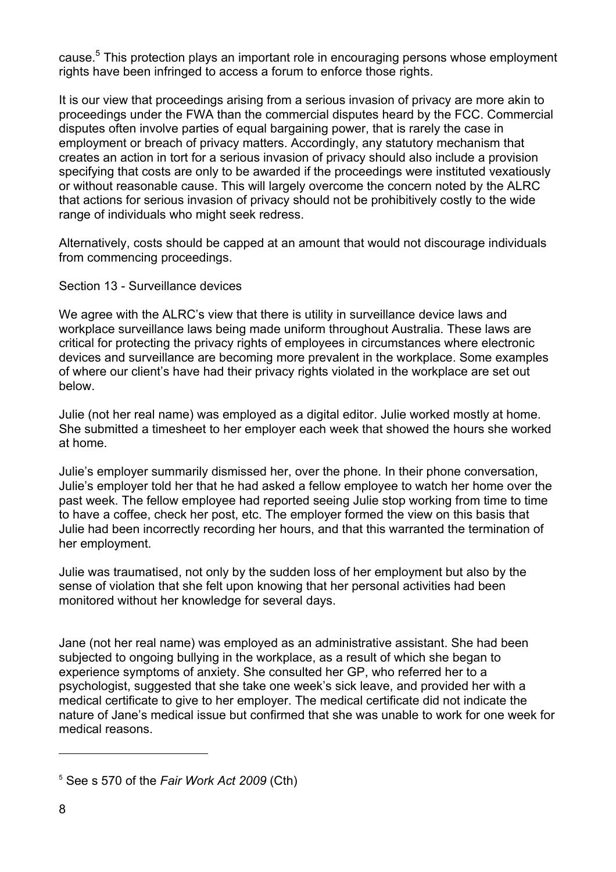cause. <sup>5</sup> This protection plays an important role in encouraging persons whose employment rights have been infringed to access a forum to enforce those rights.

It is our view that proceedings arising from a serious invasion of privacy are more akin to proceedings under the FWA than the commercial disputes heard by the FCC. Commercial disputes often involve parties of equal bargaining power, that is rarely the case in employment or breach of privacy matters. Accordingly, any statutory mechanism that creates an action in tort for a serious invasion of privacy should also include a provision specifying that costs are only to be awarded if the proceedings were instituted vexatiously or without reasonable cause. This will largely overcome the concern noted by the ALRC that actions for serious invasion of privacy should not be prohibitively costly to the wide range of individuals who might seek redress.

Alternatively, costs should be capped at an amount that would not discourage individuals from commencing proceedings.

Section 13 - Surveillance devices

We agree with the ALRC's view that there is utility in surveillance device laws and workplace surveillance laws being made uniform throughout Australia. These laws are critical for protecting the privacy rights of employees in circumstances where electronic devices and surveillance are becoming more prevalent in the workplace. Some examples of where our client's have had their privacy rights violated in the workplace are set out below.

Julie (not her real name) was employed as a digital editor. Julie worked mostly at home. She submitted a timesheet to her employer each week that showed the hours she worked at home.

Julie's employer summarily dismissed her, over the phone. In their phone conversation, Julie's employer told her that he had asked a fellow employee to watch her home over the past week. The fellow employee had reported seeing Julie stop working from time to time to have a coffee, check her post, etc. The employer formed the view on this basis that Julie had been incorrectly recording her hours, and that this warranted the termination of her employment.

Julie was traumatised, not only by the sudden loss of her employment but also by the sense of violation that she felt upon knowing that her personal activities had been monitored without her knowledge for several days.

Jane (not her real name) was employed as an administrative assistant. She had been subjected to ongoing bullying in the workplace, as a result of which she began to experience symptoms of anxiety. She consulted her GP, who referred her to a psychologist, suggested that she take one week's sick leave, and provided her with a medical certificate to give to her employer. The medical certificate did not indicate the nature of Jane's medical issue but confirmed that she was unable to work for one week for medical reasons.

l

<sup>5</sup> See s 570 of the *Fair Work Act 2009* (Cth)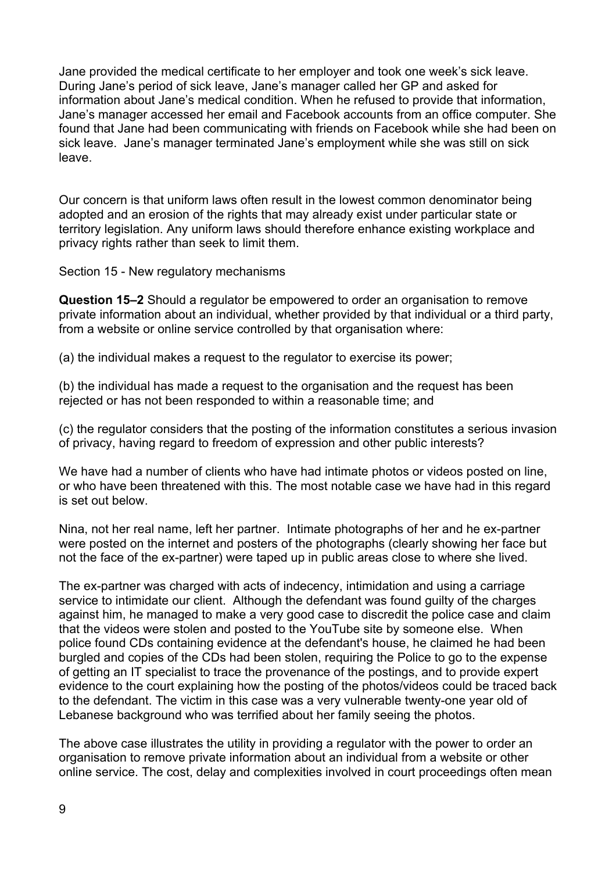Jane provided the medical certificate to her employer and took one week's sick leave. During Jane's period of sick leave, Jane's manager called her GP and asked for information about Jane's medical condition. When he refused to provide that information, Jane's manager accessed her email and Facebook accounts from an office computer. She found that Jane had been communicating with friends on Facebook while she had been on sick leave. Jane's manager terminated Jane's employment while she was still on sick leave.

Our concern is that uniform laws often result in the lowest common denominator being adopted and an erosion of the rights that may already exist under particular state or territory legislation. Any uniform laws should therefore enhance existing workplace and privacy rights rather than seek to limit them.

Section 15 - New regulatory mechanisms

**Question 15–2** Should a regulator be empowered to order an organisation to remove private information about an individual, whether provided by that individual or a third party, from a website or online service controlled by that organisation where:

(a) the individual makes a request to the regulator to exercise its power;

(b) the individual has made a request to the organisation and the request has been rejected or has not been responded to within a reasonable time; and

(c) the regulator considers that the posting of the information constitutes a serious invasion of privacy, having regard to freedom of expression and other public interests?

We have had a number of clients who have had intimate photos or videos posted on line, or who have been threatened with this. The most notable case we have had in this regard is set out below.

Nina, not her real name, left her partner. Intimate photographs of her and he ex-partner were posted on the internet and posters of the photographs (clearly showing her face but not the face of the ex-partner) were taped up in public areas close to where she lived.

The ex-partner was charged with acts of indecency, intimidation and using a carriage service to intimidate our client. Although the defendant was found guilty of the charges against him, he managed to make a very good case to discredit the police case and claim that the videos were stolen and posted to the YouTube site by someone else. When police found CDs containing evidence at the defendant's house, he claimed he had been burgled and copies of the CDs had been stolen, requiring the Police to go to the expense of getting an IT specialist to trace the provenance of the postings, and to provide expert evidence to the court explaining how the posting of the photos/videos could be traced back to the defendant. The victim in this case was a very vulnerable twenty-one year old of Lebanese background who was terrified about her family seeing the photos.

The above case illustrates the utility in providing a regulator with the power to order an organisation to remove private information about an individual from a website or other online service. The cost, delay and complexities involved in court proceedings often mean